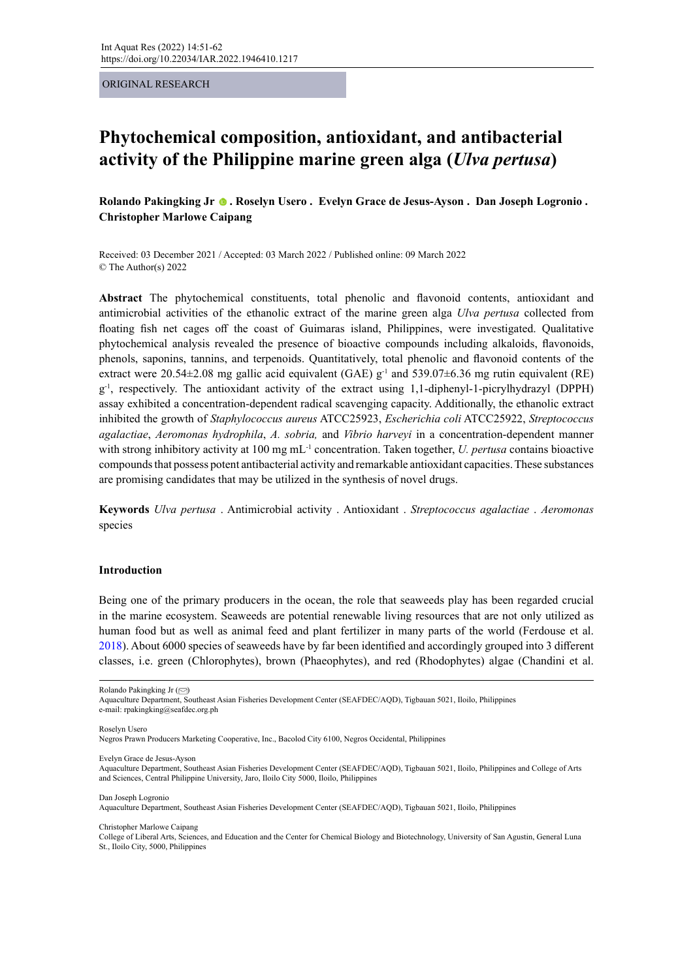ORIGINAL RESEARCH

# **Phytochemical composition, antioxidant, and antibacterial activity of the Philippine marine green alga (***Ulva pertusa***)**

**Rolando Pakingking Jr. Roselyn Usero . Evelyn Grace de Jesus-Ayson . Dan Joseph Logronio . Christopher Marlowe Caipang** 

Received: 03 December 2021 / Accepted: 03 March 2022 / Published online: 09 March 2022 © The Author(s) 2022

**Abstract** The phytochemical constituents, total phenolic and flavonoid contents, antioxidant and antimicrobial activities of the ethanolic extract of the marine green alga *Ulva pertusa* collected from floating fish net cages off the coast of Guimaras island, Philippines, were investigated. Qualitative phytochemical analysis revealed the presence of bioactive compounds including alkaloids, flavonoids, phenols, saponins, tannins, and terpenoids. Quantitatively, total phenolic and flavonoid contents of the extract were 20.54 $\pm$ 2.08 mg gallic acid equivalent (GAE)  $g^{-1}$  and 539.07 $\pm$ 6.36 mg rutin equivalent (RE) g-1, respectively. The antioxidant activity of the extract using 1,1-diphenyl-1-picrylhydrazyl (DPPH) assay exhibited a concentration-dependent radical scavenging capacity. Additionally, the ethanolic extract inhibited the growth of *Staphylococcus aureus* ATCC25923, *Escherichia coli* ATCC25922, *Streptococcus agalactiae*, *Aeromonas hydrophila*, *A. sobria,* and *Vibrio harveyi* in a concentration-dependent manner with strong inhibitory activity at 100 mg mL<sup>-1</sup> concentration. Taken together, *U. pertusa* contains bioactive compounds that possess potent antibacterial activity and remarkable antioxidant capacities. These substances are promising candidates that may be utilized in the synthesis of novel drugs.

**Keywords** *Ulva pertusa* . Antimicrobial activity . Antioxidant . *Streptococcus agalactiae* . *Aeromonas* species

#### **Introduction**

Being one of the primary producers in the ocean, the role that seaweeds play has been regarded crucial in the marine ecosystem. Seaweeds are potential renewable living resources that are not only utilized as human food but as well as animal feed and plant fertilizer in many parts of the world (Ferdouse et al. 2018). About 6000 species of seaweeds have by far been identified and accordingly grouped into 3 different classes, i.e. green (Chlorophytes), brown (Phaeophytes), and red (Rhodophytes) algae (Chandini et al.

Roselyn Usero

Negros Prawn Producers Marketing Cooperative, Inc., Bacolod City 6100, Negros Occidental, Philippines

Evelyn Grace de Jesus-Ayson

Dan Joseph Logronio

Aquaculture Department, Southeast Asian Fisheries Development Center (SEAFDEC/AQD), Tigbauan 5021, Iloilo, Philippines

Christopher Marlowe Caipang

College of Liberal Arts, Sciences, and Education and the Center for Chemical Biology and Biotechnology, University of San Agustin, General Luna St., Iloilo City, 5000, Philippines

Rolando Pakingking Jr  $(\textcolor{red}{\odot})$  $(\textcolor{red}{\odot})$ 

Aquaculture Department, Southeast Asian Fisheries Development Center (SEAFDEC/AQD), Tigbauan 5021, Iloilo, Philippines e-mail: rpakingking@seafdec.org.ph

Aquaculture Department, Southeast Asian Fisheries Development Center (SEAFDEC/AQD), Tigbauan 5021, Iloilo, Philippines and College of Arts and Sciences, Central Philippine University, Jaro, Iloilo City 5000, Iloilo, Philippines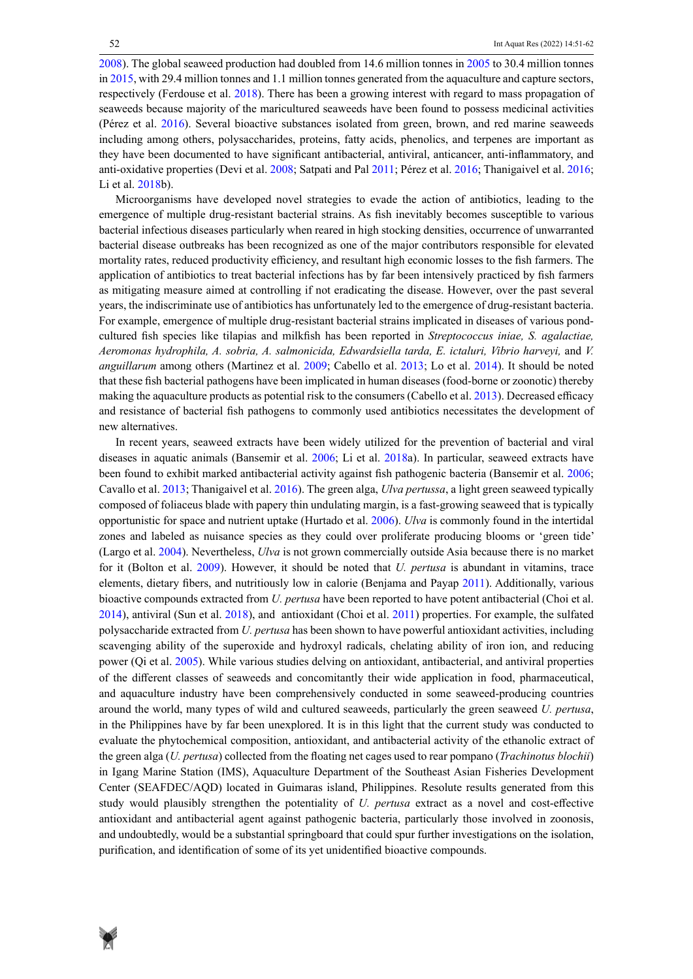2008). The global seaweed production had doubled from 14.6 million tonnes in 2005 to 30.4 million tonnes in 2015, with 29.4 million tonnes and 1.1 million tonnes generated from the aquaculture and capture sectors, respectively (Ferdouse et al. 2018). There has been a growing interest with regard to mass propagation of seaweeds because majority of the maricultured seaweeds have been found to possess medicinal activities (Pérez et al. 2016). Several bioactive substances isolated from green, brown, and red marine seaweeds including among others, polysaccharides, proteins, fatty acids, phenolics, and terpenes are important as they have been documented to have significant antibacterial, antiviral, anticancer, anti-inflammatory, and anti-oxidative properties (Devi et al. 2008; Satpati and Pal 2011; Pérez et al. 2016; Thanigaivel et al. 2016; Li et al. 2018b).

Microorganisms have developed novel strategies to evade the action of antibiotics, leading to the emergence of multiple drug-resistant bacterial strains. As fish inevitably becomes susceptible to various bacterial infectious diseases particularly when reared in high stocking densities, occurrence of unwarranted bacterial disease outbreaks has been recognized as one of the major contributors responsible for elevated mortality rates, reduced productivity efficiency, and resultant high economic losses to the fish farmers. The application of antibiotics to treat bacterial infections has by far been intensively practiced by fish farmers as mitigating measure aimed at controlling if not eradicating the disease. However, over the past several years, the indiscriminate use of antibiotics has unfortunately led to the emergence of drug-resistant bacteria. For example, emergence of multiple drug-resistant bacterial strains implicated in diseases of various pondcultured fish species like tilapias and milkfish has been reported in *Streptococcus iniae, S. agalactiae, Aeromonas hydrophila, A. sobria, A. salmonicida, Edwardsiella tarda, E. ictaluri, Vibrio harveyi,* and *V. anguillarum* among others (Martinez et al. 2009; Cabello et al. 2013; Lo et al. 2014). It should be noted that these fish bacterial pathogens have been implicated in human diseases (food-borne or zoonotic) thereby making the aquaculture products as potential risk to the consumers (Cabello et al. 2013). Decreased efficacy and resistance of bacterial fish pathogens to commonly used antibiotics necessitates the development of new alternatives.

In recent years, seaweed extracts have been widely utilized for the prevention of bacterial and viral diseases in aquatic animals (Bansemir et al. 2006; Li et al. 2018a). In particular, seaweed extracts have been found to exhibit marked antibacterial activity against fish pathogenic bacteria (Bansemir et al. 2006; Cavallo et al. 2013; Thanigaivel et al. 2016). The green alga, *Ulva pertussa*, a light green seaweed typically composed of foliaceus blade with papery thin undulating margin, is a fast-growing seaweed that is typically opportunistic for space and nutrient uptake (Hurtado et al. 2006). *Ulva* is commonly found in the intertidal zones and labeled as nuisance species as they could over proliferate producing blooms or 'green tide' (Largo et al. 2004). Nevertheless, *Ulva* is not grown commercially outside Asia because there is no market for it (Bolton et al. 2009). However, it should be noted that *U. pertusa* is abundant in vitamins, trace elements, dietary fibers, and nutritiously low in calorie (Benjama and Payap 2011). Additionally, various bioactive compounds extracted from *U. pertusa* have been reported to have potent antibacterial (Choi et al. 2014), antiviral (Sun et al. 2018), and antioxidant (Choi et al. 2011) properties. For example, the sulfated polysaccharide extracted from *U. pertusa* has been shown to have powerful antioxidant activities, including scavenging ability of the superoxide and hydroxyl radicals, chelating ability of iron ion, and reducing power (Qi et al. 2005). While various studies delving on antioxidant, antibacterial, and antiviral properties of the different classes of seaweeds and concomitantly their wide application in food, pharmaceutical, and aquaculture industry have been comprehensively conducted in some seaweed-producing countries around the world, many types of wild and cultured seaweeds, particularly the green seaweed *U. pertusa*, in the Philippines have by far been unexplored. It is in this light that the current study was conducted to evaluate the phytochemical composition, antioxidant, and antibacterial activity of the ethanolic extract of the green alga (*U. pertusa*) collected from the floating net cages used to rear pompano (*Trachinotus blochii*) in Igang Marine Station (IMS), Aquaculture Department of the Southeast Asian Fisheries Development Center (SEAFDEC/AQD) located in Guimaras island, Philippines. Resolute results generated from this study would plausibly strengthen the potentiality of *U. pertusa* extract as a novel and cost-effective antioxidant and antibacterial agent against pathogenic bacteria, particularly those involved in zoonosis, and undoubtedly, would be a substantial springboard that could spur further investigations on the isolation, purification, and identification of some of its yet unidentified bioactive compounds.

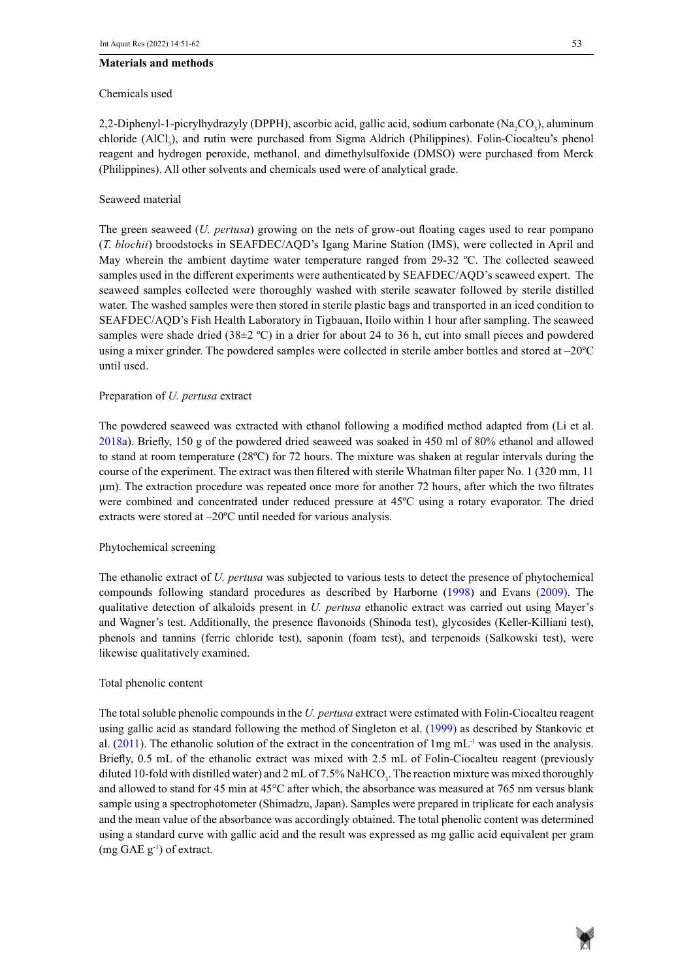## **Materials and methods**

#### Chemicals used

2,2-Diphenyl-1-picrylhydrazyly (DPPH), ascorbic acid, gallic acid, sodium carbonate (Na<sub>2</sub>CO<sub>3</sub>), aluminum chloride (AlCl<sub>3</sub>), and rutin were purchased from Sigma Aldrich (Philippines). Folin-Ciocalteu's phenol reagent and hydrogen peroxide, methanol, and dimethylsulfoxide (DMSO) were purchased from Merck (Philippines). All other solvents and chemicals used were of analytical grade.

# Seaweed material

The green seaweed (*U. pertusa*) growing on the nets of grow-out floating cages used to rear pompano (*T. blochii*) broodstocks in SEAFDEC/AQD's Igang Marine Station (IMS), were collected in April and May wherein the ambient daytime water temperature ranged from 29-32 ºC. The collected seaweed samples used in the different experiments were authenticated by SEAFDEC/AQD's seaweed expert. The seaweed samples collected were thoroughly washed with sterile seawater followed by sterile distilled water. The washed samples were then stored in sterile plastic bags and transported in an iced condition to SEAFDEC/AQD's Fish Health Laboratory in Tigbauan, Iloilo within 1 hour after sampling. The seaweed samples were shade dried (38 $\pm$ 2 °C) in a drier for about 24 to 36 h, cut into small pieces and powdered using a mixer grinder. The powdered samples were collected in sterile amber bottles and stored at –20ºC until used.

## Preparation of *U. pertusa* extract

The powdered seaweed was extracted with ethanol following a modified method adapted from (Li et al. 2018a). Briefly, 150 g of the powdered dried seaweed was soaked in 450 ml of 80% ethanol and allowed to stand at room temperature (28ºC) for 72 hours. The mixture was shaken at regular intervals during the course of the experiment. The extract was then filtered with sterile Whatman filter paper No. 1 (320 mm, 11 µm). The extraction procedure was repeated once more for another 72 hours, after which the two filtrates were combined and concentrated under reduced pressure at 45ºC using a rotary evaporator. The dried extracts were stored at –20ºC until needed for various analysis.

## Phytochemical screening

The ethanolic extract of *U. pertusa* was subjected to various tests to detect the presence of phytochemical compounds following standard procedures as described by Harborne (1998) and Evans (2009). The qualitative detection of alkaloids present in *U. pertusa* ethanolic extract was carried out using Mayer's and Wagner's test. Additionally, the presence flavonoids (Shinoda test), glycosides (Keller-Killiani test), phenols and tannins (ferric chloride test), saponin (foam test), and terpenoids (Salkowski test), were likewise qualitatively examined.

## Total phenolic content

The total soluble phenolic compounds in the *U. pertusa* extract were estimated with Folin-Ciocalteu reagent using gallic acid as standard following the method of Singleton et al. (1999) as described by Stankovic et al. (2011). The ethanolic solution of the extract in the concentration of  $1mg$  mL<sup>-1</sup> was used in the analysis. Briefly, 0.5 mL of the ethanolic extract was mixed with 2.5 mL of Folin-Ciocalteu reagent (previously diluted 10-fold with distilled water) and 2 mL of 7.5% NaHCO<sub>3</sub>. The reaction mixture was mixed thoroughly and allowed to stand for 45 min at 45°C after which, the absorbance was measured at 765 nm versus blank sample using a spectrophotometer (Shimadzu, Japan). Samples were prepared in triplicate for each analysis and the mean value of the absorbance was accordingly obtained. The total phenolic content was determined using a standard curve with gallic acid and the result was expressed as mg gallic acid equivalent per gram  $(mg GAE g^{-1})$  of extract.

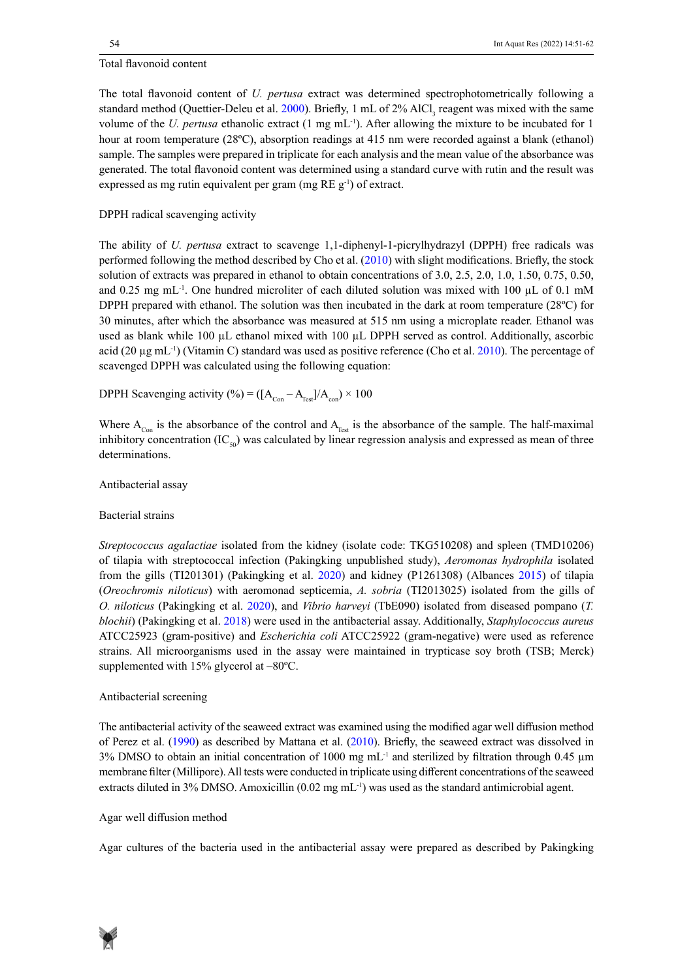## Total flavonoid content

The total flavonoid content of *U. pertusa* extract was determined spectrophotometrically following a standard method (Quettier-Deleu et al. 2000). Briefly, 1 mL of 2% AlCl<sub>3</sub> reagent was mixed with the same volume of the *U. pertusa* ethanolic extract (1 mg mL<sup>-1</sup>). After allowing the mixture to be incubated for 1 hour at room temperature (28ºC), absorption readings at 415 nm were recorded against a blank (ethanol) sample. The samples were prepared in triplicate for each analysis and the mean value of the absorbance was generated. The total flavonoid content was determined using a standard curve with rutin and the result was expressed as mg rutin equivalent per gram (mg  $RE$  g<sup>-1</sup>) of extract.

# DPPH radical scavenging activity

The ability of *U. pertusa* extract to scavenge 1,1-diphenyl-1-picrylhydrazyl (DPPH) free radicals was performed following the method described by Cho et al. (2010) with slight modifications. Briefly, the stock solution of extracts was prepared in ethanol to obtain concentrations of 3.0, 2.5, 2.0, 1.0, 1.50, 0.75, 0.50, and 0.25 mg mL<sup>-1</sup>. One hundred microliter of each diluted solution was mixed with 100  $\mu$ L of 0.1 mM DPPH prepared with ethanol. The solution was then incubated in the dark at room temperature (28ºC) for 30 minutes, after which the absorbance was measured at 515 nm using a microplate reader. Ethanol was used as blank while 100 µL ethanol mixed with 100 µL DPPH served as control. Additionally, ascorbic acid (20 µg mL<sup>-1</sup>) (Vitamin C) standard was used as positive reference (Cho et al. 2010). The percentage of scavenged DPPH was calculated using the following equation:

DPPH Scavenging activity (%) =  $([A_{Con} - A_{Test}] / A_{con}) \times 100$ 

Where  $A_{Con}$  is the absorbance of the control and  $A_{Test}$  is the absorbance of the sample. The half-maximal inhibitory concentration  $(IC_{50})$  was calculated by linear regression analysis and expressed as mean of three determinations.

Antibacterial assay

# Bacterial strains

*Streptococcus agalactiae* isolated from the kidney (isolate code: TKG510208) and spleen (TMD10206) of tilapia with streptococcal infection (Pakingking unpublished study), *Aeromonas hydrophila* isolated from the gills (TI201301) (Pakingking et al. 2020) and kidney (P1261308) (Albances 2015) of tilapia (*Oreochromis niloticus*) with aeromonad septicemia, *A. sobria* (TI2013025) isolated from the gills of *O. niloticus* (Pakingking et al. 2020), and *Vibrio harveyi* (TbE090) isolated from diseased pompano (*T. blochii*) (Pakingking et al. 2018) were used in the antibacterial assay. Additionally, *Staphylococcus aureus* ATCC25923 (gram-positive) and *Escherichia coli* ATCC25922 (gram-negative) were used as reference strains. All microorganisms used in the assay were maintained in trypticase soy broth (TSB; Merck) supplemented with 15% glycerol at –80ºC.

## Antibacterial screening

The antibacterial activity of the seaweed extract was examined using the modified agar well diffusion method of Perez et al. (1990) as described by Mattana et al. (2010). Briefly, the seaweed extract was dissolved in  $3\%$  DMSO to obtain an initial concentration of 1000 mg mL<sup>-1</sup> and sterilized by filtration through 0.45  $\mu$ m membrane filter (Millipore). All tests were conducted in triplicate using different concentrations of the seaweed extracts diluted in 3% DMSO. Amoxicillin  $(0.02 \text{ mg} \text{ mL}^{-1})$  was used as the standard antimicrobial agent.

## Agar well diffusion method

Agar cultures of the bacteria used in the antibacterial assay were prepared as described by Pakingking

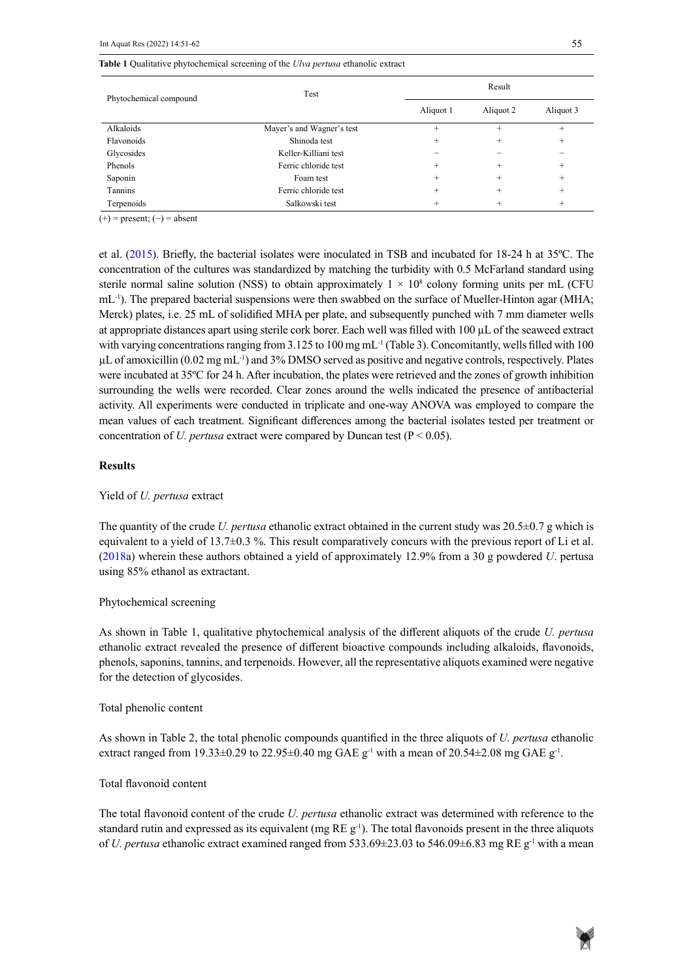#### **Table 1** Qualitative phytochemical screening of the *Ulva pertusa* ethanolic extract

| Phytochemical compound | Test                      |           | Result    |           |  |  |
|------------------------|---------------------------|-----------|-----------|-----------|--|--|
|                        |                           | Aliquot 1 | Aliquot 2 | Aliquot 3 |  |  |
| Alkaloids              | Mayer's and Wagner's test | $^{+}$    |           | $^{+}$    |  |  |
| Flavonoids             | Shinoda test              | $\pm$     |           | $^{+}$    |  |  |
| Glycosides             | Keller-Killiani test      |           |           |           |  |  |
| Phenols                | Ferric chloride test      | ÷         | +         | $^{+}$    |  |  |
| Saponin                | Foam test                 | $^{+}$    | ÷         | $^{+}$    |  |  |
| Tannins                | Ferric chloride test      | $\pm$     |           | $^{+}$    |  |  |
| Terpenoids             | Salkowski test            |           | +         | $^{+}$    |  |  |

 $(+)$  = present;  $(-)$  = absent

et al. (2015). Briefly, the bacterial isolates were inoculated in TSB and incubated for 18-24 h at 35ºC. The concentration of the cultures was standardized by matching the turbidity with 0.5 McFarland standard using sterile normal saline solution (NSS) to obtain approximately  $1 \times 10^8$  colony forming units per mL (CFU mL<sup>-1</sup>). The prepared bacterial suspensions were then swabbed on the surface of Mueller-Hinton agar (MHA; Merck) plates, i.e. 25 mL of solidified MHA per plate, and subsequently punched with 7 mm diameter wells at appropriate distances apart using sterile cork borer. Each well was filled with  $100 \mu L$  of the seaweed extract with varying concentrations ranging from  $3.125$  to  $100$  mg mL<sup>-1</sup> (Table 3). Concomitantly, wells filled with 100 µL of amoxicillin (0.02 mg mL-1) and 3% DMSO served as positive and negative controls, respectively. Plates were incubated at 35ºC for 24 h. After incubation, the plates were retrieved and the zones of growth inhibition surrounding the wells were recorded. Clear zones around the wells indicated the presence of antibacterial activity. All experiments were conducted in triplicate and one-way ANOVA was employed to compare the mean values of each treatment. Significant differences among the bacterial isolates tested per treatment or concentration of *U. pertusa* extract were compared by Duncan test ( $P < 0.05$ ).

#### **Results**

#### Yield of *U. pertusa* extract

The quantity of the crude *U. pertusa* ethanolic extract obtained in the current study was 20.5±0.7 g which is equivalent to a yield of  $13.7\pm0.3$  %. This result comparatively concurs with the previous report of Li et al. (2018a) wherein these authors obtained a yield of approximately 12.9% from a 30 g powdered *U*. pertusa using 85% ethanol as extractant.

#### Phytochemical screening

As shown in Table 1, qualitative phytochemical analysis of the different aliquots of the crude *U. pertusa*  ethanolic extract revealed the presence of different bioactive compounds including alkaloids, flavonoids, phenols, saponins, tannins, and terpenoids. However, all the representative aliquots examined were negative for the detection of glycosides.

#### Total phenolic content

As shown in Table 2, the total phenolic compounds quantified in the three aliquots of *U. pertusa* ethanolic extract ranged from 19.33 $\pm$ 0.29 to 22.95 $\pm$ 0.40 mg GAE g<sup>-1</sup> with a mean of 20.54 $\pm$ 2.08 mg GAE g<sup>-1</sup>.

# Total flavonoid content

The total flavonoid content of the crude *U. pertusa* ethanolic extract was determined with reference to the standard rutin and expressed as its equivalent (mg RE g<sup>-1</sup>). The total flavonoids present in the three aliquots of *U. pertusa* ethanolic extract examined ranged from 533.69±23.03 to 546.09±6.83 mg RE g-1 with a mean

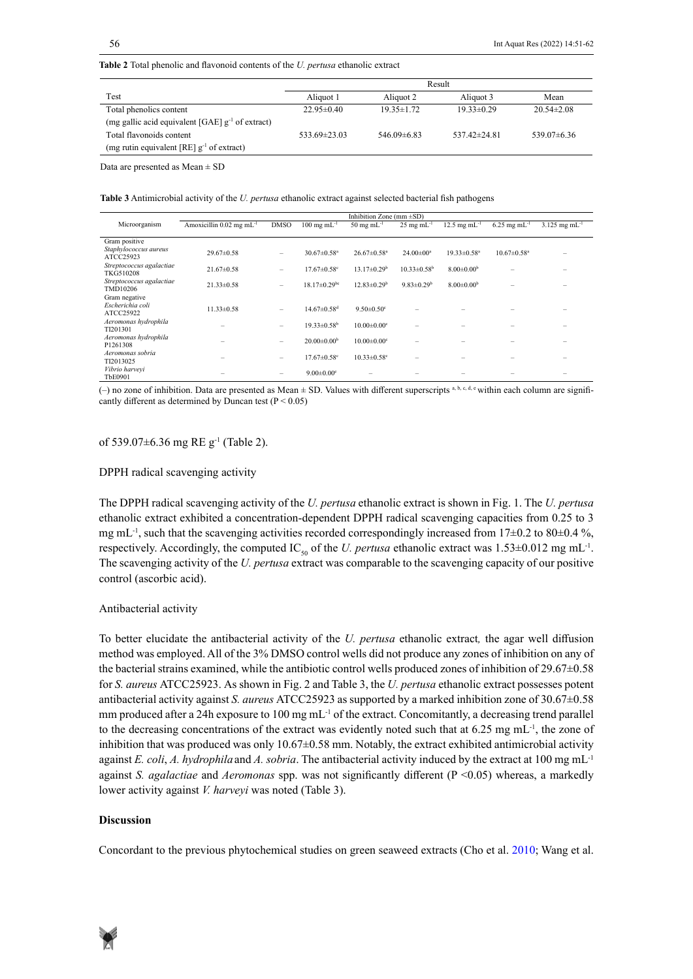**Table 2** Total phenolic and flavonoid contents of the *U. pertusa* ethanolic extract

|                                                       | Result             |                  |                    |                  |  |
|-------------------------------------------------------|--------------------|------------------|--------------------|------------------|--|
| Test                                                  | Aliquot 1          | Aliquot 2        | Aliquot 3          | Mean             |  |
| Total phenolics content                               | $22.95 \pm 0.40$   | $19.35 \pm 1.72$ | $19.33 + 0.29$     | $20.54 \pm 2.08$ |  |
| (mg gallic acid equivalent [GAE] $g^{-1}$ of extract) |                    |                  |                    |                  |  |
| Total flavonoids content                              | $533.69 \pm 23.03$ | $546.09\pm 6.83$ | $537.42 \pm 24.81$ | $539.07\pm 6.36$ |  |
| (mg rutin equivalent [RE] $g^{-1}$ of extract)        |                    |                  |                    |                  |  |

Data are presented as  $Mean \pm SD$ 

Table 3 Antimicrobial activity of the *U. pertusa* ethanolic extract against selected bacterial fish pathogens

|                                                | Inhibition Zone (mm $\pm SD$ )         |                          |                                  |                                 |                                 |                                   |                               |                             |
|------------------------------------------------|----------------------------------------|--------------------------|----------------------------------|---------------------------------|---------------------------------|-----------------------------------|-------------------------------|-----------------------------|
| Microorganism                                  | Amoxicillin $0.02$ mg mL <sup>-1</sup> | <b>DMSO</b>              | $100 \text{ mg} \text{ mL}^{-1}$ | $50 \text{ mg} \text{ mL}^{-1}$ | $25 \text{ mg} \text{ mL}^{-1}$ | $12.5 \text{ mg} \text{ mL}^{-1}$ | $6.25$ mg mL <sup>-1</sup>    | $3.125$ mg mL <sup>-1</sup> |
|                                                |                                        |                          |                                  |                                 |                                 |                                   |                               |                             |
| Gram positive                                  |                                        |                          |                                  |                                 |                                 |                                   |                               |                             |
| Staphylococcus aureus<br>ATCC25923             | $29.67 \pm 0.58$                       | -                        | $30.67 \pm 0.58$ <sup>a</sup>    | $26.67 \pm 0.58$ <sup>a</sup>   | $24.00 \pm 00^a$                | $19.33 \pm 0.58$ <sup>a</sup>     | $10.67 \pm 0.58$ <sup>a</sup> |                             |
| Streptococcus agalactiae<br>TKG510208          | $21.67\pm0.58$                         | $\overline{\phantom{0}}$ | $17.67 \pm 0.58$ <sup>c</sup>    | $13.17 \pm 0.29^{\rm b}$        | $10.33 \pm 0.58^{\rm b}$        | $8.00 \pm 0.00^{\rm b}$           |                               |                             |
| Streptococcus agalactiae<br>TMD10206           | $21.33 \pm 0.58$                       | $\overline{\phantom{0}}$ | $18.17 \pm 0.29$ bc              | $12.83 \pm 0.29^b$              | $9.83 \pm 0.29^b$               | $8.00 \pm 0.00^b$                 |                               |                             |
| Gram negative<br>Escherichia coli<br>ATCC25922 | $11.33 \pm 0.58$                       | $\overline{\phantom{0}}$ | $14.67 \pm 0.58$ <sup>d</sup>    | $9.50 \pm 0.50$ <sup>c</sup>    |                                 |                                   |                               |                             |
| Aeromonas hydrophila<br>TI201301               |                                        | -                        | $19.33 \pm 0.58^{\rm b}$         | $10.00 \pm 0.00$ <sup>c</sup>   | -                               |                                   |                               |                             |
| Aeromonas hydrophila<br>P1261308               |                                        | $\overline{\phantom{0}}$ | $20.00 \pm 0.00^{\rm b}$         | $10.00 \pm 0.00$ <sup>c</sup>   |                                 |                                   |                               |                             |
| Aeromonas sobria<br>TI2013025                  |                                        | -                        | $17.67 \pm 0.58$ <sup>c</sup>    | $10.33 \pm 0.58$ <sup>c</sup>   |                                 |                                   |                               |                             |
| Vibrio harvevi<br><b>TbE0901</b>               |                                        |                          | $9.00 \pm 0.00$ <sup>e</sup>     |                                 |                                 |                                   |                               |                             |

cantly different as determined by Duncan test ( $P < 0.05$ ) (-) no zone of inhibition. Data are presented as Mean  $\pm$  SD. Values with different superscripts a, b, c, d, e within each column are signifi-

#### of 539.07±6.36 mg RE g-1 (Table 2).

#### DPPH radical scavenging activity

The DPPH radical scavenging activity of the *U. pertusa* ethanolic extract is shown in Fig. 1. The *U. pertusa*  ethanolic extract exhibited a concentration-dependent DPPH radical scavenging capacities from 0.25 to 3 mg mL<sup>-1</sup>, such that the scavenging activities recorded correspondingly increased from 17±0.2 to 80±0.4 %, respectively. Accordingly, the computed IC<sub>50</sub> of the *U. pertusa* ethanolic extract was  $1.53\pm0.012$  mg mL<sup>-1</sup>. The scavenging activity of the *U. pertusa* extract was comparable to the scavenging capacity of our positive control (ascorbic acid).

## Antibacterial activity

To better elucidate the antibacterial activity of the *U. pertusa* ethanolic extract*,* the agar well diffusion method was employed. All of the 3% DMSO control wells did not produce any zones of inhibition on any of the bacterial strains examined, while the antibiotic control wells produced zones of inhibition of 29.67±0.58 for *S. aureus* ATCC25923. As shown in Fig. 2 and Table 3, the *U. pertusa* ethanolic extract possesses potent antibacterial activity against *S. aureus* ATCC25923 as supported by a marked inhibition zone of 30.67±0.58 mm produced after a 24h exposure to 100 mg  $mL^{-1}$  of the extract. Concomitantly, a decreasing trend parallel to the decreasing concentrations of the extract was evidently noted such that at  $6.25 \text{ mg mL}$ <sup>1</sup>, the zone of inhibition that was produced was only  $10.67 \pm 0.58$  mm. Notably, the extract exhibited antimicrobial activity against *E. coli*, *A. hydrophila* and *A. sobria*. The antibacterial activity induced by the extract at 100 mg mL-1 against *S. agalactiae* and *Aeromonas* spp. was not significantly different (P <0.05) whereas, a markedly lower activity against *V. harveyi* was noted (Table 3).

## **Discussion**

Concordant to the previous phytochemical studies on green seaweed extracts (Cho et al. 2010; Wang et al.

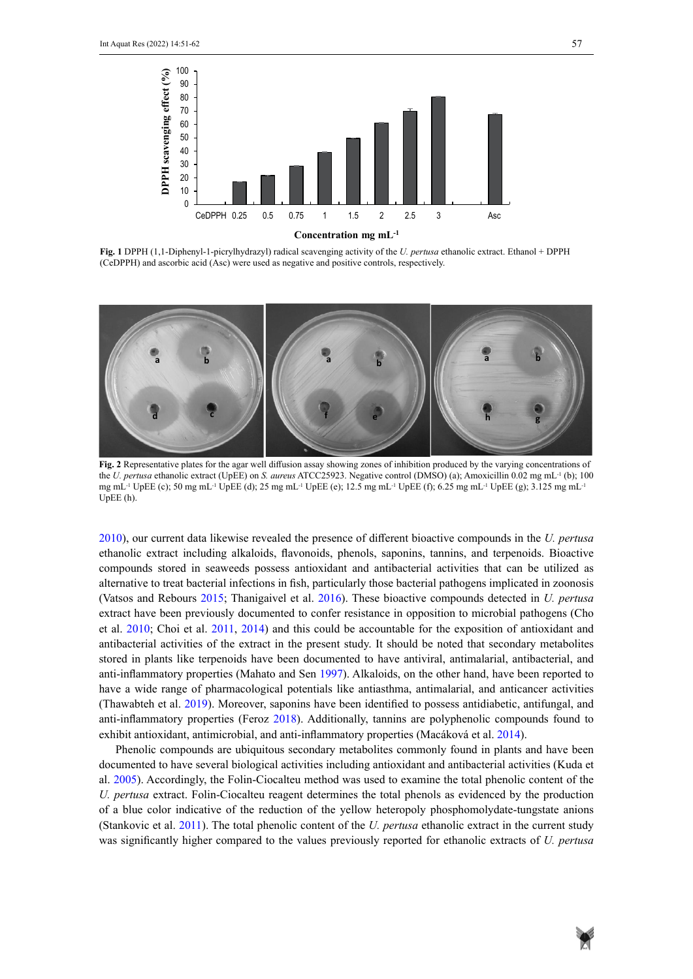

**Fig. 1** DPPH (1,1-Diphenyl-1-picrylhydrazyl) radical scavenging activity of the *U. pertusa* ethanolic extract. Ethanol + DPPH (CeDPPH) and ascorbic acid (Asc) were used as negative and positive controls, respectively.



**Fig. 2** Representative plates for the agar well diffusion assay showing zones of inhibition produced by the varying concentrations of the *U. pertusa* ethanolic extract (UpEE) on *S. aureus* ATCC25923. Negative control (DMSO) (a); Amoxicillin 0.02 mg mL-1 (b); 100 mg mL-1 UpEE (c); 50 mg mL-1 UpEE (d); 25 mg mL-1 UpEE (e); 12.5 mg mL-1 UpEE (f); 6.25 mg mL-1 UpEE (g); 3.125 mg mL-1 UpEE (h).

2010), our current data likewise revealed the presence of different bioactive compounds in the *U. pertusa*  ethanolic extract including alkaloids, flavonoids, phenols, saponins, tannins, and terpenoids. Bioactive compounds stored in seaweeds possess antioxidant and antibacterial activities that can be utilized as alternative to treat bacterial infections in fish, particularly those bacterial pathogens implicated in zoonosis (Vatsos and Rebours 2015; Thanigaivel et al. 2016). These bioactive compounds detected in *U. pertusa* extract have been previously documented to confer resistance in opposition to microbial pathogens (Cho  $\sim$  1.2000,  $\approx$  1.2000,  $\sim$  1.2000,  $\sim$  1.2000,  $\sim$  1.2000,  $\sim$  1.2000,  $\sim$  1.2000,  $\sim$  1.2000,  $\sim$  1.2000,  $\$ et al. 2010; Choi et al. 2011, 2014) and this could be accountable for the exposition of antioxidant and antibacterial activities of the extract in the present study. It should be noted that secondary metabolites stored in plants like terpenoids have been documented to have antiviral, antimalarial, antibacterial, and anti-inflammatory properties (Mahato and Sen 1997). Alkaloids, on the other hand, have been reported to have a wide range of pharmacological potentials like antiasthma, antimalarial, and anticancer activities (Thawabteh et al. 2019). Moreover, saponins have been identified to possess antidiabetic, antifungal, and anti-inflammatory properties (Feroz 2018). Additionally, tannins are polyphenolic compounds found to exhibit antioxidant, antimicrobial, and anti-inflammatory properties (Macáková et al. 2014).

Phenolic compounds are ubiquitous secondary metabolites commonly found in plants and have been documented to have several biological activities including antioxidant and antibacterial activities (Kuda et al. 2005). Accordingly, the Folin-Ciocalteu method was used to examine the total phenolic content of the *U. pertusa* extract. Folin-Ciocalteu reagent determines the total phenols as evidenced by the production of a blue color indicative of the reduction of the yellow heteropoly phosphomolydate-tungstate anions (Stankovic et al. 2011). The total phenolic content of the *U. pertusa* ethanolic extract in the current study was significantly higher compared to the values previously reported for ethanolic extracts of *U. pertusa*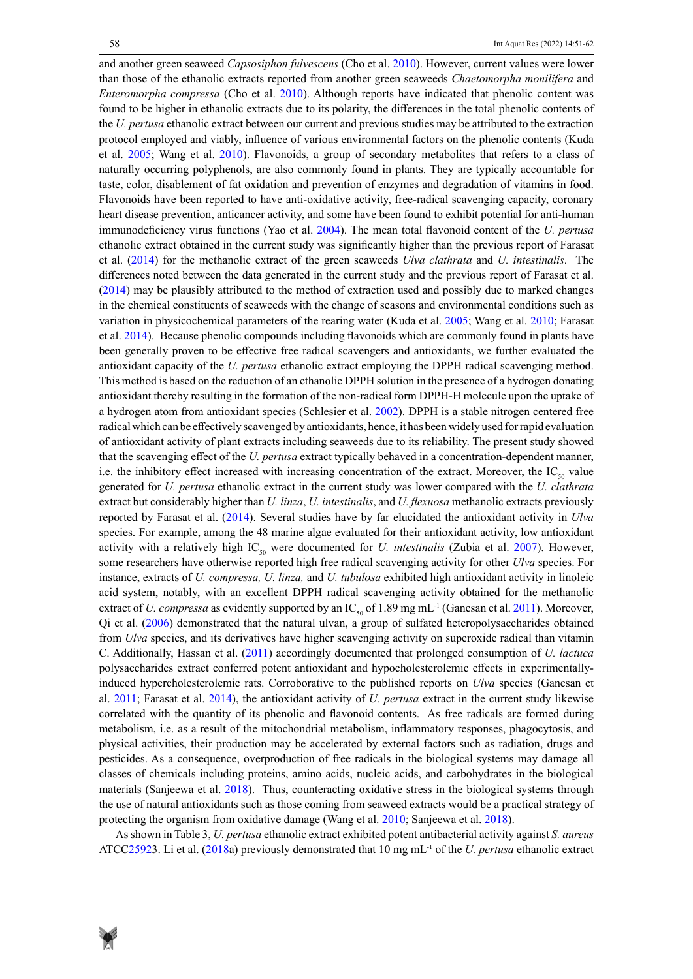and another green seaweed *Capsosiphon fulvescens* (Cho et al. 2010). However, current values were lower than those of the ethanolic extracts reported from another green seaweeds *Chaetomorpha monilifera* and *Enteromorpha compressa* (Cho et al. 2010). Although reports have indicated that phenolic content was found to be higher in ethanolic extracts due to its polarity, the differences in the total phenolic contents of the *U. pertusa* ethanolic extract between our current and previous studies may be attributed to the extraction protocol employed and viably, influence of various environmental factors on the phenolic contents (Kuda et al. 2005; Wang et al. 2010). Flavonoids, a group of secondary metabolites that refers to a class of naturally occurring polyphenols, are also commonly found in plants. They are typically accountable for taste, color, disablement of fat oxidation and prevention of enzymes and degradation of vitamins in food. Flavonoids have been reported to have anti-oxidative activity, free-radical scavenging capacity, coronary heart disease prevention, anticancer activity, and some have been found to exhibit potential for anti-human immunodeficiency virus functions (Yao et al. 2004). The mean total flavonoid content of the *U. pertusa*  ethanolic extract obtained in the current study was significantly higher than the previous report of Farasat et al. (2014) for the methanolic extract of the green seaweeds *Ulva clathrata* and *U. intestinalis*. The differences noted between the data generated in the current study and the previous report of Farasat et al. (2014) may be plausibly attributed to the method of extraction used and possibly due to marked changes in the chemical constituents of seaweeds with the change of seasons and environmental conditions such as variation in physicochemical parameters of the rearing water (Kuda et al. 2005; Wang et al. 2010; Farasat et al. 2014). Because phenolic compounds including flavonoids which are commonly found in plants have been generally proven to be effective free radical scavengers and antioxidants, we further evaluated the antioxidant capacity of the *U. pertusa* ethanolic extract employing the DPPH radical scavenging method. This method is based on the reduction of an ethanolic DPPH solution in the presence of a hydrogen donating antioxidant thereby resulting in the formation of the non-radical form DPPH-H molecule upon the uptake of a hydrogen atom from antioxidant species (Schlesier et al. 2002). DPPH is a stable nitrogen centered free radical which can be effectively scavenged by antioxidants, hence, it has been widely used for rapid evaluation of antioxidant activity of plant extracts including seaweeds due to its reliability. The present study showed that the scavenging effect of the *U. pertusa* extract typically behaved in a concentration-dependent manner, i.e. the inhibitory effect increased with increasing concentration of the extract. Moreover, the  $IC_{\rm so}$  value generated for *U. pertusa* ethanolic extract in the current study was lower compared with the *U. clathrata*  extract but considerably higher than *U. linza*, *U. intestinalis*, and *U. flexuosa* methanolic extracts previously reported by Farasat et al. (2014). Several studies have by far elucidated the antioxidant activity in *Ulva*  species. For example, among the 48 marine algae evaluated for their antioxidant activity, low antioxidant activity with a relatively high IC<sub>50</sub> were documented for *U. intestinalis* (Zubia et al. 2007). However, some researchers have otherwise reported high free radical scavenging activity for other *Ulva* species. For instance, extracts of *U. compressa, U. linza,* and *U. tubulosa* exhibited high antioxidant activity in linoleic acid system, notably, with an excellent DPPH radical scavenging activity obtained for the methanolic extract of *U. compressa* as evidently supported by an IC<sub>50</sub> of 1.89 mg mL<sup>-1</sup> (Ganesan et al. 2011). Moreover, Qi et al. (2006) demonstrated that the natural ulvan, a group of sulfated heteropolysaccharides obtained from *Ulva* species, and its derivatives have higher scavenging activity on superoxide radical than vitamin C. Additionally, Hassan et al. (2011) accordingly documented that prolonged consumption of *U. lactuca* polysaccharides extract conferred potent antioxidant and hypocholesterolemic effects in experimentallyinduced hypercholesterolemic rats. Corroborative to the published reports on *Ulva* species (Ganesan et al. 2011; Farasat et al. 2014), the antioxidant activity of *U. pertusa* extract in the current study likewise correlated with the quantity of its phenolic and flavonoid contents. As free radicals are formed during metabolism, i.e. as a result of the mitochondrial metabolism, inflammatory responses, phagocytosis, and physical activities, their production may be accelerated by external factors such as radiation, drugs and pesticides. As a consequence, overproduction of free radicals in the biological systems may damage all classes of chemicals including proteins, amino acids, nucleic acids, and carbohydrates in the biological materials (Sanjeewa et al. 2018). Thus, counteracting oxidative stress in the biological systems through the use of natural antioxidants such as those coming from seaweed extracts would be a practical strategy of protecting the organism from oxidative damage (Wang et al. 2010; Sanjeewa et al. 2018).

As shown in Table 3, *U. pertusa* ethanolic extract exhibited potent antibacterial activity against *S. aureus*  ATCC25923. Li et al. (2018a) previously demonstrated that 10 mg mL-1 of the *U. pertusa* ethanolic extract

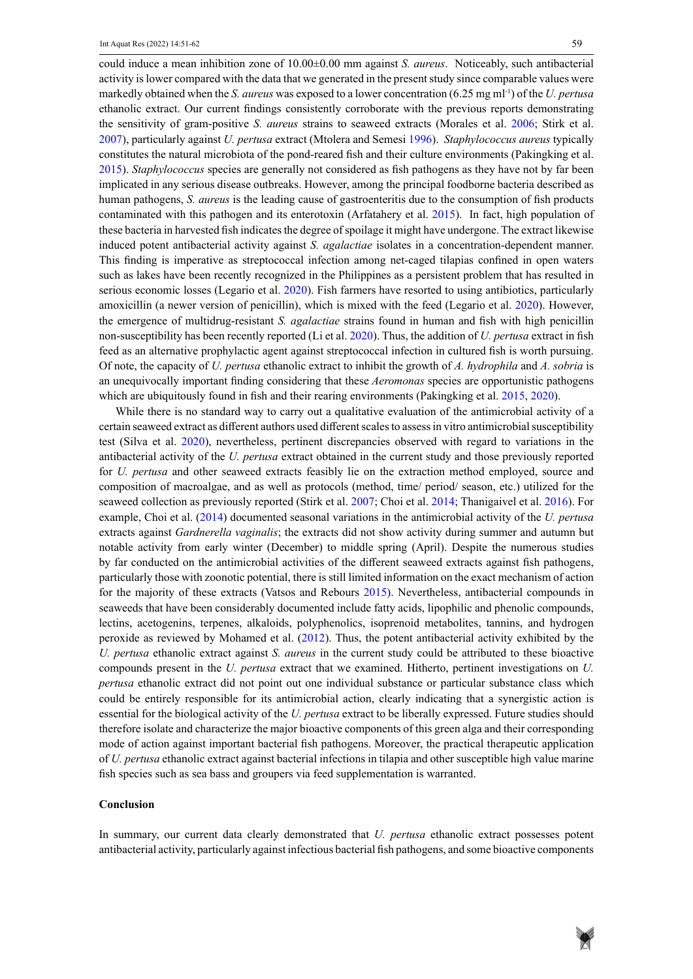could induce a mean inhibition zone of 10.00±0.00 mm against *S. aureus*. Noticeably, such antibacterial activity is lower compared with the data that we generated in the present study since comparable values were markedly obtained when the *S. aureus* was exposed to a lower concentration (6.25 mg ml-1) of the *U. pertusa* ethanolic extract. Our current findings consistently corroborate with the previous reports demonstrating the sensitivity of gram-positive *S. aureus* strains to seaweed extracts (Morales et al. 2006; Stirk et al. 2007), particularly against *U. pertusa* extract (Mtolera and Semesi 1996). *Staphylococcus aureus* typically constitutes the natural microbiota of the pond-reared fish and their culture environments (Pakingking et al. 2015). *Staphylococcus* species are generally not considered as fish pathogens as they have not by far been implicated in any serious disease outbreaks. However, among the principal foodborne bacteria described as human pathogens, *S. aureus* is the leading cause of gastroenteritis due to the consumption of fish products contaminated with this pathogen and its enterotoxin (Arfatahery et al. 2015). In fact, high population of these bacteria in harvested fish indicates the degree of spoilage it might have undergone. The extract likewise induced potent antibacterial activity against *S. agalactiae* isolates in a concentration-dependent manner. This finding is imperative as streptococcal infection among net-caged tilapias confined in open waters such as lakes have been recently recognized in the Philippines as a persistent problem that has resulted in serious economic losses (Legario et al. 2020). Fish farmers have resorted to using antibiotics, particularly amoxicillin (a newer version of penicillin), which is mixed with the feed (Legario et al. 2020). However, the emergence of multidrug-resistant *S. agalactiae* strains found in human and fish with high penicillin non-susceptibility has been recently reported (Li et al. 2020). Thus, the addition of *U. pertusa* extract in fish feed as an alternative prophylactic agent against streptococcal infection in cultured fish is worth pursuing. Of note, the capacity of *U. pertusa* ethanolic extract to inhibit the growth of *A. hydrophila* and *A. sobria* is an unequivocally important finding considering that these *Aeromonas* species are opportunistic pathogens which are ubiquitously found in fish and their rearing environments (Pakingking et al. 2015, 2020).

While there is no standard way to carry out a qualitative evaluation of the antimicrobial activity of a certain seaweed extract as different authors used different scales to assess in vitro antimicrobial susceptibility test (Silva et al. 2020), nevertheless, pertinent discrepancies observed with regard to variations in the antibacterial activity of the *U. pertusa* extract obtained in the current study and those previously reported for *U. pertusa* and other seaweed extracts feasibly lie on the extraction method employed, source and composition of macroalgae, and as well as protocols (method, time/ period/ season, etc.) utilized for the seaweed collection as previously reported (Stirk et al. 2007; Choi et al. 2014; Thanigaivel et al. 2016). For example, Choi et al. (2014) documented seasonal variations in the antimicrobial activity of the *U. pertusa* extracts against *Gardnerella vaginalis*; the extracts did not show activity during summer and autumn but notable activity from early winter (December) to middle spring (April). Despite the numerous studies by far conducted on the antimicrobial activities of the different seaweed extracts against fish pathogens, particularly those with zoonotic potential, there is still limited information on the exact mechanism of action for the majority of these extracts (Vatsos and Rebours 2015). Nevertheless, antibacterial compounds in seaweeds that have been considerably documented include fatty acids, lipophilic and phenolic compounds, lectins, acetogenins, terpenes, alkaloids, polyphenolics, isoprenoid metabolites, tannins, and hydrogen peroxide as reviewed by Mohamed et al. (2012). Thus, the potent antibacterial activity exhibited by the *U. pertusa* ethanolic extract against *S. aureus* in the current study could be attributed to these bioactive compounds present in the *U. pertusa* extract that we examined. Hitherto, pertinent investigations on *U. pertusa* ethanolic extract did not point out one individual substance or particular substance class which could be entirely responsible for its antimicrobial action, clearly indicating that a synergistic action is essential for the biological activity of the *U. pertusa* extract to be liberally expressed. Future studies should therefore isolate and characterize the major bioactive components of this green alga and their corresponding mode of action against important bacterial fish pathogens. Moreover, the practical therapeutic application of *U. pertusa* ethanolic extract against bacterial infections in tilapia and other susceptible high value marine fish species such as sea bass and groupers via feed supplementation is warranted.

#### **Conclusion**

In summary, our current data clearly demonstrated that *U. pertusa* ethanolic extract possesses potent antibacterial activity, particularly against infectious bacterial fish pathogens, and some bioactive components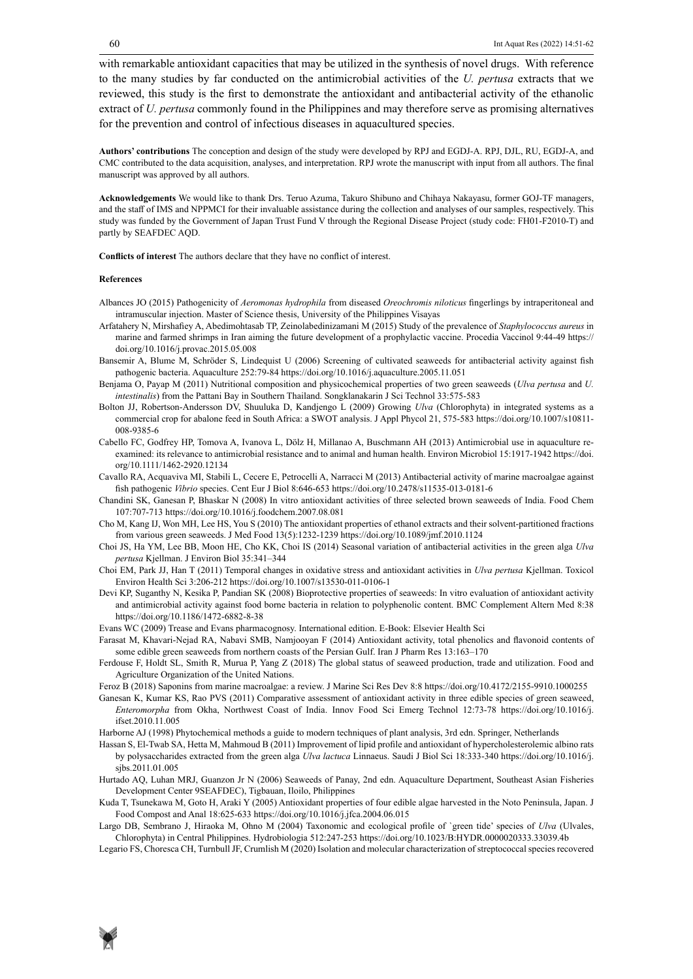with remarkable antioxidant capacities that may be utilized in the synthesis of novel drugs. With reference to the many studies by far conducted on the antimicrobial activities of the *U. pertusa* extracts that we reviewed, this study is the first to demonstrate the antioxidant and antibacterial activity of the ethanolic extract of *U. pertusa* commonly found in the Philippines and may therefore serve as promising alternatives for the prevention and control of infectious diseases in aquacultured species.

**Authors' contributions** The conception and design of the study were developed by RPJ and EGDJ-A. RPJ, DJL, RU, EGDJ-A, and CMC contributed to the data acquisition, analyses, and interpretation. RPJ wrote the manuscript with input from all authors. The final manuscript was approved by all authors.

**Acknowledgements** We would like to thank Drs. Teruo Azuma, Takuro Shibuno and Chihaya Nakayasu, former GOJ-TF managers, and the staff of IMS and NPPMCI for their invaluable assistance during the collection and analyses of our samples, respectively. This study was funded by the Government of Japan Trust Fund V through the Regional Disease Project (study code: FH01-F2010-T) and partly by SEAFDEC AQD.

**Conflicts of interest** The authors declare that they have no conflict of interest.

#### **References**

- Albances JO (2015) Pathogenicity of *Aeromonas hydrophila* from diseased *Oreochromis niloticus* fingerlings by intraperitoneal and intramuscular injection. Master of Science thesis, University of the Philippines Visayas
- Arfatahery N, Mirshafiey A, Abedimohtasab TP, Zeinolabedinizamani M (2015) Study of the prevalence of *Staphylococcus aureus* in marine and farmed shrimps in Iran aiming the future development of a prophylactic vaccine. Procedia Vaccinol 9:44-49 https:// doi.org/10.1016/j.provac.2015.05.008
- Bansemir A, Blume M, Schröder S, Lindequist U (2006) Screening of cultivated seaweeds for antibacterial activity against fish pathogenic bacteria. Aquaculture 252:79-84 https://doi.org/10.1016/j.aquaculture.2005.11.051
- Benjama O, Payap M (2011) Nutritional composition and physicochemical properties of two green seaweeds (*Ulva pertusa* and *U. intestinalis*) from the Pattani Bay in Southern Thailand. Songklanakarin J Sci Technol 33:575-583
- Bolton JJ, Robertson-Andersson DV, Shuuluka D, Kandjengo L (2009) Growing *Ulva* (Chlorophyta) in integrated systems as a commercial crop for abalone feed in South Africa: a SWOT analysis. J Appl Phycol 21, 575-583 https://doi.org/10.1007/s10811- 008-9385-6
- Cabello FC, Godfrey HP, Tomova A, Ivanova L, Dölz H, Millanao A, Buschmann AH (2013) Antimicrobial use in aquaculture reexamined: its relevance to antimicrobial resistance and to animal and human health. Environ Microbiol 15:1917-1942 https://doi. org/10.1111/1462-2920.12134
- Cavallo RA, Acquaviva MI, Stabili L, Cecere E, Petrocelli A, Narracci M (2013) Antibacterial activity of marine macroalgae against fish pathogenic *Vibrio* species. Cent Eur J Biol 8:646-653 https://doi.org/10.2478/s11535-013-0181-6
- Chandini SK, Ganesan P, Bhaskar N (2008) In vitro antioxidant activities of three selected brown seaweeds of India. Food Chem 107:707-713 https://doi.org/10.1016/j.foodchem.2007.08.081
- Cho M, Kang IJ, Won MH, Lee HS, You S (2010) The antioxidant properties of ethanol extracts and their solvent-partitioned fractions from various green seaweeds. J Med Food 13(5):1232-1239 https://doi.org/10.1089/jmf.2010.1124
- Choi JS, Ha YM, Lee BB, Moon HE, Cho KK, Choi IS (2014) Seasonal variation of antibacterial activities in the green alga *Ulva pertusa* Kjellman. J Environ Biol 35:341–344
- Choi EM, Park JJ, Han T (2011) Temporal changes in oxidative stress and antioxidant activities in *Ulva pertusa* Kjellman. Toxicol Environ Health Sci 3:206-212 https://doi.org/10.1007/s13530-011-0106-1
- Devi KP, Suganthy N, Kesika P, Pandian SK (2008) Bioprotective properties of seaweeds: In vitro evaluation of antioxidant activity and antimicrobial activity against food borne bacteria in relation to polyphenolic content. BMC Complement Altern Med 8:38 https://doi.org/10.1186/1472-6882-8-38
- Evans WC (2009) Trease and Evans pharmacognosy. International edition. E-Book: Elsevier Health Sci
- Farasat M, Khavari-Nejad RA, Nabavi SMB, Namjooyan F (2014) Antioxidant activity, total phenolics and flavonoid contents of some edible green seaweeds from northern coasts of the Persian Gulf. Iran J Pharm Res 13:163–170
- Ferdouse F, Holdt SL, Smith R, Murua P, Yang Z (2018) The global status of seaweed production, trade and utilization. Food and Agriculture Organization of the United Nations.
- Feroz B (2018) Saponins from marine macroalgae: a review. J Marine Sci Res Dev 8:8 https://doi.org/10.4172/2155-9910.1000255
- Ganesan K, Kumar KS, Rao PVS (2011) Comparative assessment of antioxidant activity in three edible species of green seaweed, *Enteromorpha* from Okha, Northwest Coast of India. Innov Food Sci Emerg Technol 12:73-78 https://doi.org/10.1016/j. ifset.2010.11.005
- Harborne AJ (1998) Phytochemical methods a guide to modern techniques of plant analysis, 3rd edn. Springer, Netherlands
- Hassan S, El-Twab SA, Hetta M, Mahmoud B (2011) Improvement of lipid profile and antioxidant of hypercholesterolemic albino rats by polysaccharides extracted from the green alga *Ulva lactuca* Linnaeus. Saudi J Biol Sci 18:333-340 https://doi.org/10.1016/j. sibs.2011.01.005
- Hurtado AQ, Luhan MRJ, Guanzon Jr N (2006) Seaweeds of Panay, 2nd edn. Aquaculture Department, Southeast Asian Fisheries Development Center 9SEAFDEC), Tigbauan, Iloilo, Philippines
- Kuda T, Tsunekawa M, Goto H, Araki Y (2005) Antioxidant properties of four edible algae harvested in the Noto Peninsula, Japan. J Food Compost and Anal 18:625-633 https://doi.org/10.1016/j.jfca.2004.06.015
- Largo DB, Sembrano J, Hiraoka M, Ohno M (2004) Taxonomic and ecological profile of `green tide' species of *Ulva* (Ulvales, Chlorophyta) in Central Philippines. Hydrobiologia 512:247-253 https://doi.org/10.1023/B:HYDR.0000020333.33039.4b
- Legario FS, Choresca CH, Turnbull JF, Crumlish M (2020) Isolation and molecular characterization of streptococcal species recovered

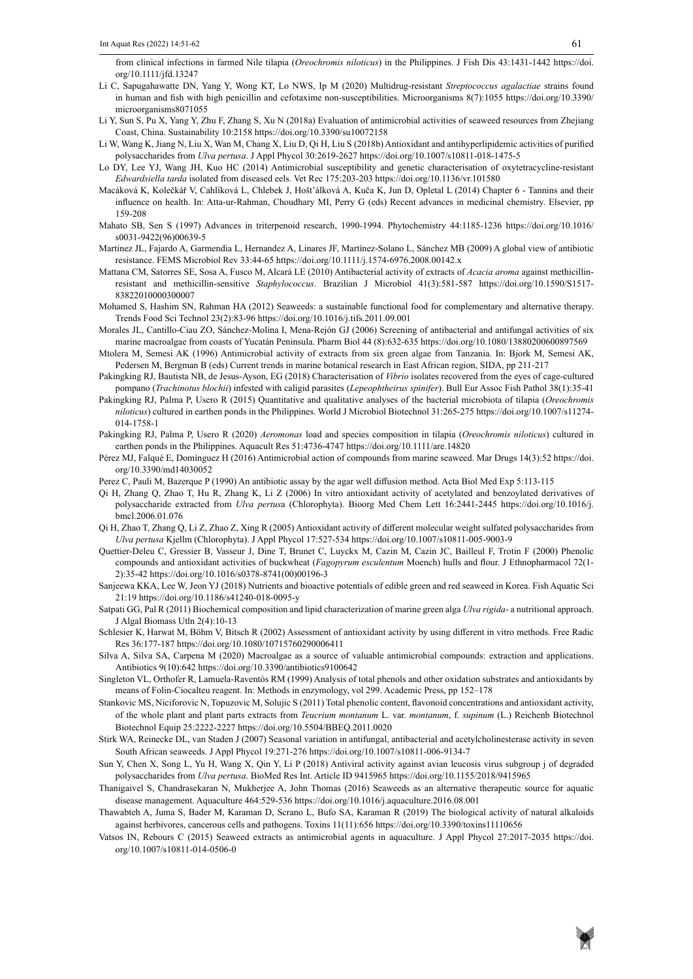from clinical infections in farmed Nile tilapia (*Oreochromis niloticus*) in the Philippines. J Fish Dis 43:1431-1442 https://doi. org/10.1111/jfd.13247

- Li C, Sapugahawatte DN, Yang Y, Wong KT, Lo NWS, Ip M (2020) Multidrug-resistant *Streptococcus agalactiae* strains found in human and fish with high penicillin and cefotaxime non-susceptibilities. Microorganisms 8(7):1055 https://doi.org/10.3390/ microorganisms8071055
- Li Y, Sun S, Pu X, Yang Y, Zhu F, Zhang S, Xu N (2018a) Evaluation of antimicrobial activities of seaweed resources from Zhejiang Coast, China. Sustainability 10:2158 https://doi.org/10.3390/su10072158
- Li W, Wang K, Jiang N, Liu X, Wan M, Chang X, Liu D, Qi H, Liu S (2018b) Antioxidant and antihyperlipidemic activities of purified polysaccharides from *Ulva pertusa*. J Appl Phycol 30:2619-2627 https://doi.org/10.1007/s10811-018-1475-5
- Lo DY, Lee YJ, Wang JH, Kuo HC (2014) Antimicrobial susceptibility and genetic characterisation of oxytetracycline-resistant *Edwardsiella tarda* isolated from diseased eels. Vet Rec 175:203-203 https://doi.org/10.1136/vr.101580
- Macáková K, Kolečkář V, Cahlíková L, Chlebek J, Hošt'álková A, Kuča K, Jun D, Opletal L (2014) Chapter 6 Tannins and their influence on health. In: Atta-ur-Rahman, Choudhary MI, Perry G (eds) Recent advances in medicinal chemistry. Elsevier, pp 159-208
- Mahato SB, Sen S (1997) Advances in triterpenoid research, 1990-1994. Phytochemistry 44:1185-1236 https://doi.org/10.1016/ s0031-9422(96)00639-5
- Martinez JL, Fajardo A, Garmendia L, Hernandez A, Linares JF, Martínez‐Solano L, Sánchez MB (2009) A global view of antibiotic resistance. FEMS Microbiol Rev 33:44-65 https://doi.org/10.1111/j.1574-6976.2008.00142.x
- Mattana CM, Satorres SE, Sosa A, Fusco M, Alcará LE (2010) Antibacterial activity of extracts of *Acacia aroma* against methicillinresistant and methicillin-sensitive *Staphylococcus*. Brazilian J Microbiol 41(3):581-587 https://doi.org/10.1590/S1517- 83822010000300007
- Mohamed S, Hashim SN, Rahman HA (2012) Seaweeds: a sustainable functional food for complementary and alternative therapy. Trends Food Sci Technol 23(2):83-96 https://doi.org/10.1016/j.tifs.2011.09.001
- Morales JL, Cantillo-Ciau ZO, Sánchez-Molina I, Mena-Rejón GJ (2006) Screening of antibacterial and antifungal activities of six marine macroalgae from coasts of Yucatán Peninsula. Pharm Biol 44 (8):632-635 https://doi.org/10.1080/13880200600897569
- Mtolera M, Semesi AK (1996) Antimicrobial activity of extracts from six green algae from Tanzania. In: Bjork M, Semesi AK, Pedersen M, Bergman B (eds) Current trends in marine botanical research in East African region, SIDA, pp 211-217
- Pakingking RJ, Bautista NB, de Jesus-Ayson, EG (2018) Characterisation of *Vibrio* isolates recovered from the eyes of cage-cultured pompano (*Trachinotus blochii*) infested with caligid parasites (*Lepeophtheirus spinifer*). Bull Eur Assoc Fish Pathol 38(1):35-41
- Pakingking RJ, Palma P, Usero R (2015) Quantitative and qualitative analyses of the bacterial microbiota of tilapia (*Oreochromis niloticus*) cultured in earthen ponds in the Philippines. World J Microbiol Biotechnol 31:265-275 https://doi.org/10.1007/s11274- 014-1758-1
- Pakingking RJ, Palma P, Usero R (2020) *Aeromonas* load and species composition in tilapia (*Oreochromis niloticus*) cultured in earthen ponds in the Philippines. Aquacult Res 51:4736-4747 https://doi.org/10.1111/are.14820
- Pérez MJ, Falqué E, Domínguez H (2016) Antimicrobial action of compounds from marine seaweed. Mar Drugs 14(3):52 https://doi. org/10.3390/md14030052
- Perez C, Pauli M, Bazerque P (1990) An antibiotic assay by the agar well diffusion method. Acta Biol Med Exp 5:113-115
- Qi H, Zhang Q, Zhao T, Hu R, Zhang K, Li Z (2006) In vitro antioxidant activity of acetylated and benzoylated derivatives of polysaccharide extracted from *Ulva pertus*a (Chlorophyta). Bioorg Med Chem Lett 16:2441-2445 https://doi.org/10.1016/j. bmcl.2006.01.076
- Qi H, Zhao T, Zhang Q, Li Z, Zhao Z, Xing R (2005) Antioxidant activity of different molecular weight sulfated polysaccharides from *Ulva pertusa* Kjellm (Chlorophyta). J Appl Phycol 17:527-534 https://doi.org/10.1007/s10811-005-9003-9
- Quettier-Deleu C, Gressier B, Vasseur J, Dine T, Brunet C, Luyckx M, Cazin M, Cazin JC, Bailleul F, Trotin F (2000) Phenolic compounds and antioxidant activities of buckwheat (*Fagopyrum esculentum* Moench) hulls and flour. J Ethnopharmacol 72(1- 2):35-42 https://doi.org/10.1016/s0378-8741(00)00196-3
- Sanjeewa KKA, Lee W, Jeon YJ (2018) Nutrients and bioactive potentials of edible green and red seaweed in Korea. Fish Aquatic Sci 21:19 https://doi.org/10.1186/s41240-018-0095-y
- Satpati GG, Pal R (2011) Biochemical composition and lipid characterization of marine green alga *Ulva rigida* a nutritional approach. J Algal Biomass Utln 2(4):10-13
- Schlesier K, Harwat M, Böhm V, Bitsch R (2002) Assessment of antioxidant activity by using different in vitro methods. Free Radic Res 36:177-187 https://doi.org/10.1080/10715760290006411
- Silva A, Silva SA, Carpena M (2020) Macroalgae as a source of valuable antimicrobial compounds: extraction and applications. Antibiotics 9(10):642 https://doi.org/10.3390/antibiotics9100642
- Singleton VL, Orthofer R, Lamuela-Raventós RM (1999) Analysis of total phenols and other oxidation substrates and antioxidants by means of Folin-Ciocalteu reagent. In: Methods in enzymology, vol 299. Academic Press, pp 152–178
- Stankovic MS, Niciforovic N, Topuzovic M, Solujic S (2011) Total phenolic content, flavonoid concentrations and antioxidant activity, of the whole plant and plant parts extracts from *Teucrium montanum* L. var. *montanum*, f. *supinum* (L.) Reichenb Biotechnol Biotechnol Equip 25:2222-2227 https://doi.org/10.5504/BBEQ.2011.0020
- Stirk WA, Reinecke DL, van Staden J (2007) Seasonal variation in antifungal, antibacterial and acetylcholinesterase activity in seven South African seaweeds. J Appl Phycol 19:271-276 https://doi.org/10.1007/s10811-006-9134-7
- Sun Y, Chen X, Song L, Yu H, Wang X, Qin Y, Li P (2018) Antiviral activity against avian leucosis virus subgroup j of degraded polysaccharides from *Ulva pertusa*. BioMed Res Int. Article ID 9415965 https://doi.org/10.1155/2018/9415965
- Thanigaivel S, Chandrasekaran N, Mukherjee A, John Thomas (2016) Seaweeds as an alternative therapeutic source for aquatic disease management. Aquaculture 464:529-536 https://doi.org/10.1016/j.aquaculture.2016.08.001
- Thawabteh A, Juma S, Bader M, Karaman D, Scrano L, Bufo SA, Karaman R (2019) The biological activity of natural alkaloids against herbivores, cancerous cells and pathogens. Toxins 11(11):656 https://doi.org/10.3390/toxins11110656
- Vatsos IN, Rebours C (2015) Seaweed extracts as antimicrobial agents in aquaculture. J Appl Phycol 27:2017-2035 https://doi. org/10.1007/s10811-014-0506-0